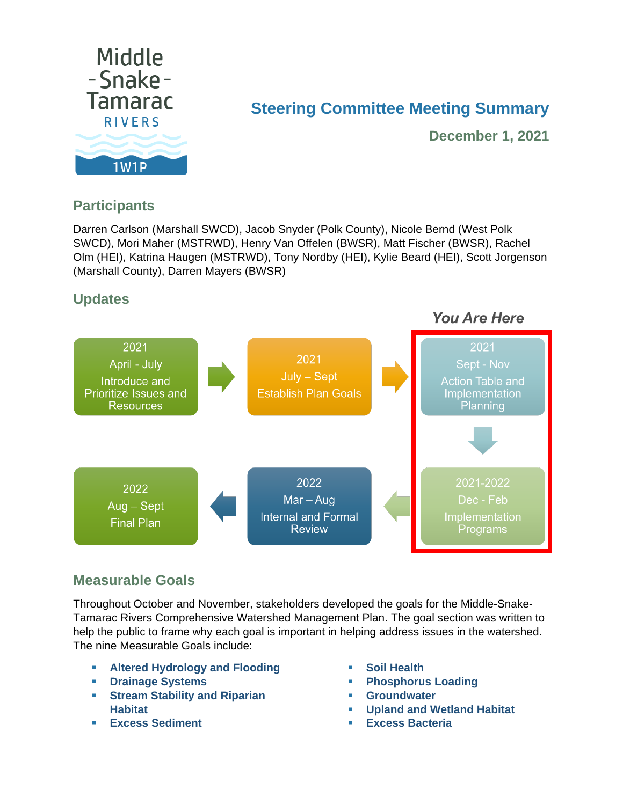

# **Steering Committee Meeting Summary**

**December 1, 2021**

# **Participants**

Darren Carlson (Marshall SWCD), Jacob Snyder (Polk County), Nicole Bernd (West Polk SWCD), Mori Maher (MSTRWD), Henry Van Offelen (BWSR), Matt Fischer (BWSR), Rachel Olm (HEI), Katrina Haugen (MSTRWD), Tony Nordby (HEI), Kylie Beard (HEI), Scott Jorgenson (Marshall County), Darren Mayers (BWSR)

# **Updates**



## **Measurable Goals**

Throughout October and November, stakeholders developed the goals for the Middle-Snake-Tamarac Rivers Comprehensive Watershed Management Plan. The goal section was written to help the public to frame why each goal is important in helping address issues in the watershed. The nine Measurable Goals include:

- **Altered Hydrology and Flooding**
- **Drainage Systems**
- **Stream Stability and Riparian Habitat**
- **Excess Sediment**
- **Soil Health**
- **Phosphorus Loading**
- **Groundwater**
- **Upland and Wetland Habitat**
- **Excess Bacteria**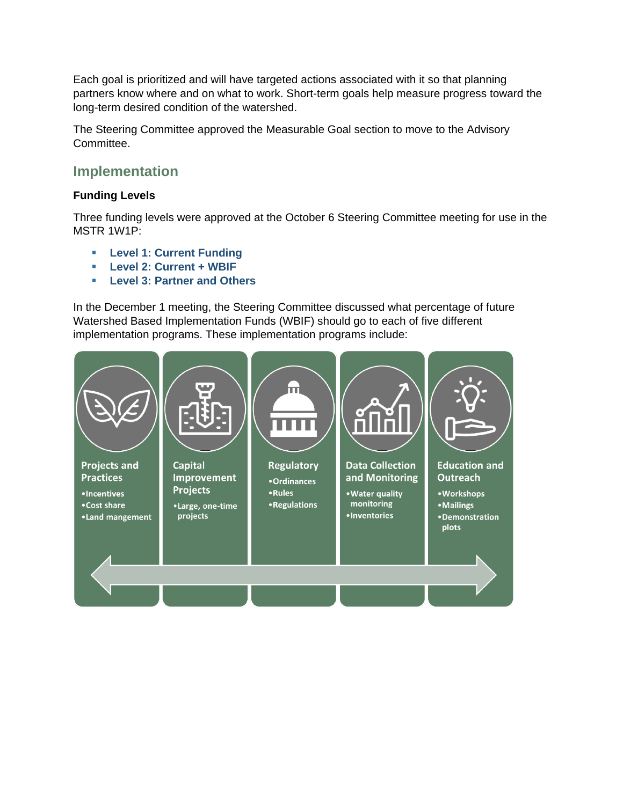Each goal is prioritized and will have targeted actions associated with it so that planning partners know where and on what to work. Short-term goals help measure progress toward the long-term desired condition of the watershed.

The Steering Committee approved the Measurable Goal section to move to the Advisory Committee.

### **Implementation**

#### **Funding Levels**

Three funding levels were approved at the October 6 Steering Committee meeting for use in the MSTR 1W1P:

- **Level 1: Current Funding**
- **Level 2: Current + WBIF**
- **Level 3: Partner and Others**

In the December 1 meeting, the Steering Committee discussed what percentage of future Watershed Based Implementation Funds (WBIF) should go to each of five different implementation programs. These implementation programs include:

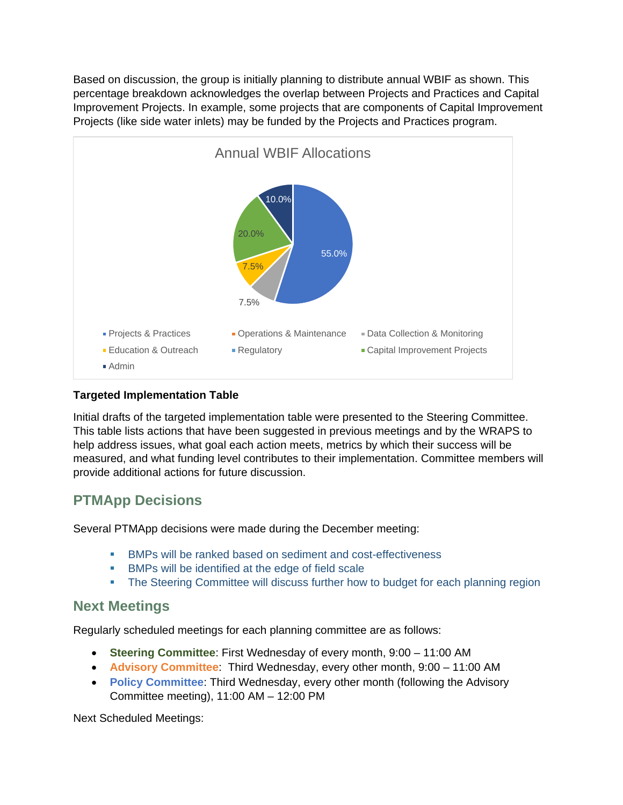Based on discussion, the group is initially planning to distribute annual WBIF as shown. This percentage breakdown acknowledges the overlap between Projects and Practices and Capital Improvement Projects. In example, some projects that are components of Capital Improvement Projects (like side water inlets) may be funded by the Projects and Practices program.



#### **Targeted Implementation Table**

Initial drafts of the targeted implementation table were presented to the Steering Committee. This table lists actions that have been suggested in previous meetings and by the WRAPS to help address issues, what goal each action meets, metrics by which their success will be measured, and what funding level contributes to their implementation. Committee members will provide additional actions for future discussion.

## **PTMApp Decisions**

Several PTMApp decisions were made during the December meeting:

- **BMPs will be ranked based on sediment and cost-effectiveness**
- **BMPs will be identified at the edge of field scale**
- **The Steering Committee will discuss further how to budget for each planning region**

#### **Next Meetings**

Regularly scheduled meetings for each planning committee are as follows:

- **Steering Committee**: First Wednesday of every month, 9:00 11:00 AM
- **Advisory Committee**: Third Wednesday, every other month, 9:00 11:00 AM
- **Policy Committee**: Third Wednesday, every other month (following the Advisory Committee meeting), 11:00 AM – 12:00 PM

Next Scheduled Meetings: